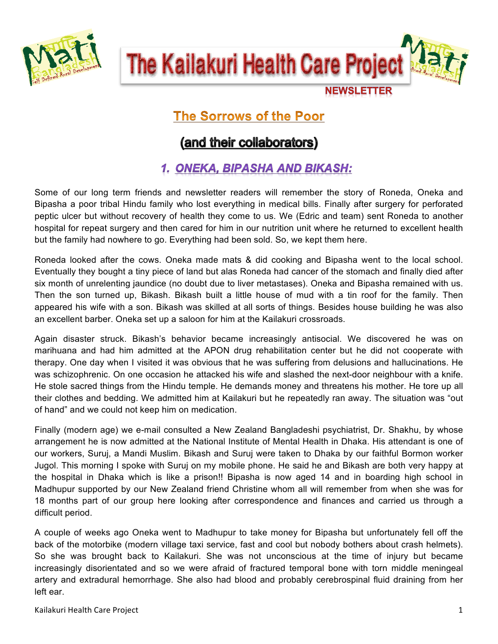

The Kailakuri Health Care Projec

**NEWSLETTER** 

# **The Sorrows of the Poor**

# (and their collaborators)

# 1. ONEKA, BIPASHA AND BIKASH:

Some of our long term friends and newsletter readers will remember the story of Roneda, Oneka and Bipasha a poor tribal Hindu family who lost everything in medical bills. Finally after surgery for perforated peptic ulcer but without recovery of health they come to us. We (Edric and team) sent Roneda to another hospital for repeat surgery and then cared for him in our nutrition unit where he returned to excellent health but the family had nowhere to go. Everything had been sold. So, we kept them here.

Roneda looked after the cows. Oneka made mats & did cooking and Bipasha went to the local school. Eventually they bought a tiny piece of land but alas Roneda had cancer of the stomach and finally died after six month of unrelenting jaundice (no doubt due to liver metastases). Oneka and Bipasha remained with us. Then the son turned up, Bikash. Bikash built a little house of mud with a tin roof for the family. Then appeared his wife with a son. Bikash was skilled at all sorts of things. Besides house building he was also an excellent barber. Oneka set up a saloon for him at the Kailakuri crossroads.

Again disaster struck. Bikash's behavior became increasingly antisocial. We discovered he was on marihuana and had him admitted at the APON drug rehabilitation center but he did not cooperate with therapy. One day when I visited it was obvious that he was suffering from delusions and hallucinations. He was schizophrenic. On one occasion he attacked his wife and slashed the next-door neighbour with a knife. He stole sacred things from the Hindu temple. He demands money and threatens his mother. He tore up all their clothes and bedding. We admitted him at Kailakuri but he repeatedly ran away. The situation was "out of hand" and we could not keep him on medication.

Finally (modern age) we e-mail consulted a New Zealand Bangladeshi psychiatrist, Dr. Shakhu, by whose arrangement he is now admitted at the National Institute of Mental Health in Dhaka. His attendant is one of our workers, Suruj, a Mandi Muslim. Bikash and Suruj were taken to Dhaka by our faithful Bormon worker Jugol. This morning I spoke with Suruj on my mobile phone. He said he and Bikash are both very happy at the hospital in Dhaka which is like a prison!! Bipasha is now aged 14 and in boarding high school in Madhupur supported by our New Zealand friend Christine whom all will remember from when she was for 18 months part of our group here looking after correspondence and finances and carried us through a difficult period.

A couple of weeks ago Oneka went to Madhupur to take money for Bipasha but unfortunately fell off the back of the motorbike (modern village taxi service, fast and cool but nobody bothers about crash helmets). So she was brought back to Kailakuri. She was not unconscious at the time of injury but became increasingly disorientated and so we were afraid of fractured temporal bone with torn middle meningeal artery and extradural hemorrhage. She also had blood and probably cerebrospinal fluid draining from her left ear.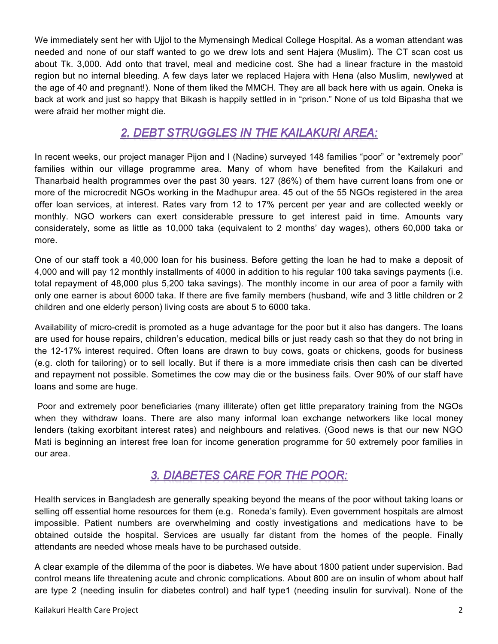We immediately sent her with Ujjol to the Mymensingh Medical College Hospital. As a woman attendant was needed and none of our staff wanted to go we drew lots and sent Hajera (Muslim). The CT scan cost us about Tk. 3,000. Add onto that travel, meal and medicine cost. She had a linear fracture in the mastoid region but no internal bleeding. A few days later we replaced Hajera with Hena (also Muslim, newlywed at the age of 40 and pregnant!). None of them liked the MMCH. They are all back here with us again. Oneka is back at work and just so happy that Bikash is happily settled in in "prison." None of us told Bipasha that we were afraid her mother might die.

#### 2. DEBT STRUGGLES IN THE KAILAKURI AREA:

In recent weeks, our project manager Pijon and I (Nadine) surveyed 148 families "poor" or "extremely poor" families within our village programme area. Many of whom have benefited from the Kailakuri and Thanarbaid health programmes over the past 30 years. 127 (86%) of them have current loans from one or more of the microcredit NGOs working in the Madhupur area. 45 out of the 55 NGOs registered in the area offer loan services, at interest. Rates vary from 12 to 17% percent per year and are collected weekly or monthly. NGO workers can exert considerable pressure to get interest paid in time. Amounts vary considerately, some as little as 10,000 taka (equivalent to 2 months' day wages), others 60,000 taka or more.

One of our staff took a 40,000 loan for his business. Before getting the loan he had to make a deposit of 4,000 and will pay 12 monthly installments of 4000 in addition to his regular 100 taka savings payments (i.e. total repayment of 48,000 plus 5,200 taka savings). The monthly income in our area of poor a family with only one earner is about 6000 taka. If there are five family members (husband, wife and 3 little children or 2 children and one elderly person) living costs are about 5 to 6000 taka.

Availability of micro-credit is promoted as a huge advantage for the poor but it also has dangers. The loans are used for house repairs, children's education, medical bills or just ready cash so that they do not bring in the 12-17% interest required. Often loans are drawn to buy cows, goats or chickens, goods for business (e.g. cloth for tailoring) or to sell locally. But if there is a more immediate crisis then cash can be diverted and repayment not possible. Sometimes the cow may die or the business fails. Over 90% of our staff have loans and some are huge.

Poor and extremely poor beneficiaries (many illiterate) often get little preparatory training from the NGOs when they withdraw loans. There are also many informal loan exchange networkers like local money lenders (taking exorbitant interest rates) and neighbours and relatives. (Good news is that our new NGO Mati is beginning an interest free loan for income generation programme for 50 extremely poor families in our area.

### 3. DIABETES CARE FOR THE POOR:

Health services in Bangladesh are generally speaking beyond the means of the poor without taking loans or selling off essential home resources for them (e.g. Roneda's family). Even government hospitals are almost impossible. Patient numbers are overwhelming and costly investigations and medications have to be obtained outside the hospital. Services are usually far distant from the homes of the people. Finally attendants are needed whose meals have to be purchased outside.

A clear example of the dilemma of the poor is diabetes. We have about 1800 patient under supervision. Bad control means life threatening acute and chronic complications. About 800 are on insulin of whom about half are type 2 (needing insulin for diabetes control) and half type1 (needing insulin for survival). None of the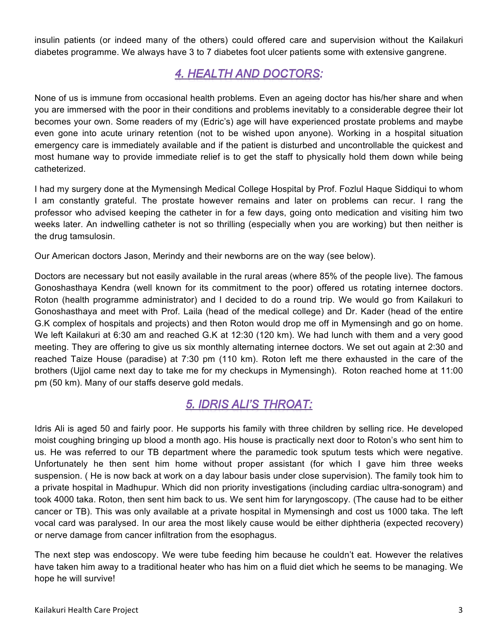insulin patients (or indeed many of the others) could offered care and supervision without the Kailakuri diabetes programme. We always have 3 to 7 diabetes foot ulcer patients some with extensive gangrene.

### **4. HEALTH AND DOCTORS:**

None of us is immune from occasional health problems. Even an ageing doctor has his/her share and when you are immersed with the poor in their conditions and problems inevitably to a considerable degree their lot becomes your own. Some readers of my (Edric's) age will have experienced prostate problems and maybe even gone into acute urinary retention (not to be wished upon anyone). Working in a hospital situation emergency care is immediately available and if the patient is disturbed and uncontrollable the quickest and most humane way to provide immediate relief is to get the staff to physically hold them down while being catheterized.

I had my surgery done at the Mymensingh Medical College Hospital by Prof. Fozlul Haque Siddiqui to whom I am constantly grateful. The prostate however remains and later on problems can recur. I rang the professor who advised keeping the catheter in for a few days, going onto medication and visiting him two weeks later. An indwelling catheter is not so thrilling (especially when you are working) but then neither is the drug tamsulosin.

Our American doctors Jason, Merindy and their newborns are on the way (see below).

Doctors are necessary but not easily available in the rural areas (where 85% of the people live). The famous Gonoshasthaya Kendra (well known for its commitment to the poor) offered us rotating internee doctors. Roton (health programme administrator) and I decided to do a round trip. We would go from Kailakuri to Gonoshasthaya and meet with Prof. Laila (head of the medical college) and Dr. Kader (head of the entire G.K complex of hospitals and projects) and then Roton would drop me off in Mymensingh and go on home. We left Kailakuri at 6:30 am and reached G.K at 12:30 (120 km). We had lunch with them and a very good meeting. They are offering to give us six monthly alternating internee doctors. We set out again at 2:30 and reached Taize House (paradise) at 7:30 pm (110 km). Roton left me there exhausted in the care of the brothers (Ujjol came next day to take me for my checkups in Mymensingh). Roton reached home at 11:00 pm (50 km). Many of our staffs deserve gold medals.

### **5. IDRIS ALI'S THROAT:**

Idris Ali is aged 50 and fairly poor. He supports his family with three children by selling rice. He developed moist coughing bringing up blood a month ago. His house is practically next door to Roton's who sent him to us. He was referred to our TB department where the paramedic took sputum tests which were negative. Unfortunately he then sent him home without proper assistant (for which I gave him three weeks suspension. ( He is now back at work on a day labour basis under close supervision). The family took him to a private hospital in Madhupur. Which did non priority investigations (including cardiac ultra-sonogram) and took 4000 taka. Roton, then sent him back to us. We sent him for laryngoscopy. (The cause had to be either cancer or TB). This was only available at a private hospital in Mymensingh and cost us 1000 taka. The left vocal card was paralysed. In our area the most likely cause would be either diphtheria (expected recovery) or nerve damage from cancer infiltration from the esophagus.

The next step was endoscopy. We were tube feeding him because he couldn't eat. However the relatives have taken him away to a traditional heater who has him on a fluid diet which he seems to be managing. We hope he will survive!